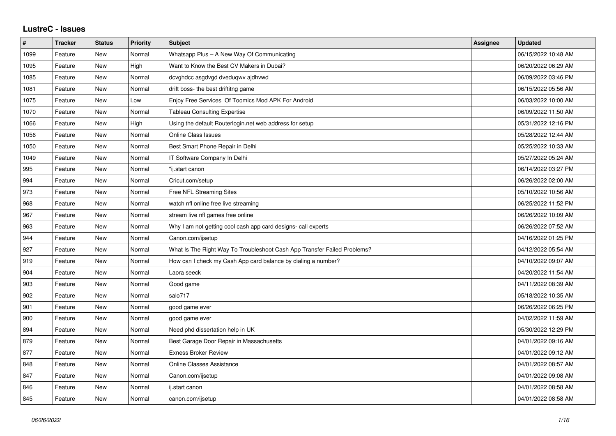## **LustreC - Issues**

| $\#$ | <b>Tracker</b> | <b>Status</b> | <b>Priority</b> | <b>Subject</b>                                                           | Assignee | <b>Updated</b>      |
|------|----------------|---------------|-----------------|--------------------------------------------------------------------------|----------|---------------------|
| 1099 | Feature        | New           | Normal          | Whatsapp Plus - A New Way Of Communicating                               |          | 06/15/2022 10:48 AM |
| 1095 | Feature        | <b>New</b>    | High            | Want to Know the Best CV Makers in Dubai?                                |          | 06/20/2022 06:29 AM |
| 1085 | Feature        | New           | Normal          | dcvghdcc asgdvgd dveduqwv ajdhvwd                                        |          | 06/09/2022 03:46 PM |
| 1081 | Feature        | <b>New</b>    | Normal          | drift boss- the best driftitng game                                      |          | 06/15/2022 05:56 AM |
| 1075 | Feature        | <b>New</b>    | Low             | Enjoy Free Services Of Toomics Mod APK For Android                       |          | 06/03/2022 10:00 AM |
| 1070 | Feature        | New           | Normal          | <b>Tableau Consulting Expertise</b>                                      |          | 06/09/2022 11:50 AM |
| 1066 | Feature        | New           | High            | Using the default Routerlogin.net web address for setup                  |          | 05/31/2022 12:16 PM |
| 1056 | Feature        | <b>New</b>    | Normal          | <b>Online Class Issues</b>                                               |          | 05/28/2022 12:44 AM |
| 1050 | Feature        | New           | Normal          | Best Smart Phone Repair in Delhi                                         |          | 05/25/2022 10:33 AM |
| 1049 | Feature        | <b>New</b>    | Normal          | IT Software Company In Delhi                                             |          | 05/27/2022 05:24 AM |
| 995  | Feature        | <b>New</b>    | Normal          | "ij.start canon                                                          |          | 06/14/2022 03:27 PM |
| 994  | Feature        | New           | Normal          | Cricut.com/setup                                                         |          | 06/26/2022 02:00 AM |
| 973  | Feature        | <b>New</b>    | Normal          | Free NFL Streaming Sites                                                 |          | 05/10/2022 10:56 AM |
| 968  | Feature        | <b>New</b>    | Normal          | watch nfl online free live streaming                                     |          | 06/25/2022 11:52 PM |
| 967  | Feature        | New           | Normal          | stream live nfl games free online                                        |          | 06/26/2022 10:09 AM |
| 963  | Feature        | <b>New</b>    | Normal          | Why I am not getting cool cash app card designs- call experts            |          | 06/26/2022 07:52 AM |
| 944  | Feature        | New           | Normal          | Canon.com/ijsetup                                                        |          | 04/16/2022 01:25 PM |
| 927  | Feature        | New           | Normal          | What Is The Right Way To Troubleshoot Cash App Transfer Failed Problems? |          | 04/12/2022 05:54 AM |
| 919  | Feature        | <b>New</b>    | Normal          | How can I check my Cash App card balance by dialing a number?            |          | 04/10/2022 09:07 AM |
| 904  | Feature        | New           | Normal          | Laora seeck                                                              |          | 04/20/2022 11:54 AM |
| 903  | Feature        | New           | Normal          | Good game                                                                |          | 04/11/2022 08:39 AM |
| 902  | Feature        | <b>New</b>    | Normal          | salo717                                                                  |          | 05/18/2022 10:35 AM |
| 901  | Feature        | New           | Normal          | good game ever                                                           |          | 06/26/2022 06:25 PM |
| 900  | Feature        | <b>New</b>    | Normal          | good game ever                                                           |          | 04/02/2022 11:59 AM |
| 894  | Feature        | <b>New</b>    | Normal          | Need phd dissertation help in UK                                         |          | 05/30/2022 12:29 PM |
| 879  | Feature        | New           | Normal          | Best Garage Door Repair in Massachusetts                                 |          | 04/01/2022 09:16 AM |
| 877  | Feature        | <b>New</b>    | Normal          | <b>Exness Broker Review</b>                                              |          | 04/01/2022 09:12 AM |
| 848  | Feature        | New           | Normal          | Online Classes Assistance                                                |          | 04/01/2022 08:57 AM |
| 847  | Feature        | New           | Normal          | Canon.com/ijsetup                                                        |          | 04/01/2022 09:08 AM |
| 846  | Feature        | New           | Normal          | ij.start canon                                                           |          | 04/01/2022 08:58 AM |
| 845  | Feature        | <b>New</b>    | Normal          | canon.com/ijsetup                                                        |          | 04/01/2022 08:58 AM |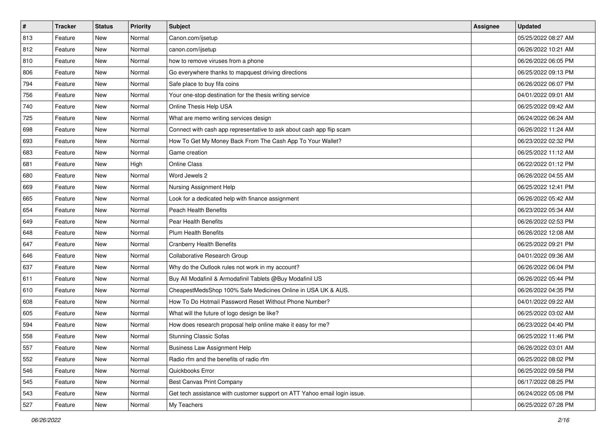| $\sharp$ | <b>Tracker</b> | <b>Status</b> | Priority | <b>Subject</b>                                                            | Assignee | <b>Updated</b>      |
|----------|----------------|---------------|----------|---------------------------------------------------------------------------|----------|---------------------|
| 813      | Feature        | New           | Normal   | Canon.com/ijsetup                                                         |          | 05/25/2022 08:27 AM |
| 812      | Feature        | New           | Normal   | canon.com/ijsetup                                                         |          | 06/26/2022 10:21 AM |
| 810      | Feature        | New           | Normal   | how to remove viruses from a phone                                        |          | 06/26/2022 06:05 PM |
| 806      | Feature        | New           | Normal   | Go everywhere thanks to mapquest driving directions                       |          | 06/25/2022 09:13 PM |
| 794      | Feature        | New           | Normal   | Safe place to buy fifa coins                                              |          | 06/26/2022 06:07 PM |
| 756      | Feature        | New           | Normal   | Your one-stop destination for the thesis writing service                  |          | 04/01/2022 09:01 AM |
| 740      | Feature        | New           | Normal   | Online Thesis Help USA                                                    |          | 06/25/2022 09:42 AM |
| 725      | Feature        | New           | Normal   | What are memo writing services design                                     |          | 06/24/2022 06:24 AM |
| 698      | Feature        | New           | Normal   | Connect with cash app representative to ask about cash app flip scam      |          | 06/26/2022 11:24 AM |
| 693      | Feature        | New           | Normal   | How To Get My Money Back From The Cash App To Your Wallet?                |          | 06/23/2022 02:32 PM |
| 683      | Feature        | New           | Normal   | Game creation                                                             |          | 06/25/2022 11:12 AM |
| 681      | Feature        | New           | High     | <b>Online Class</b>                                                       |          | 06/22/2022 01:12 PM |
| 680      | Feature        | New           | Normal   | Word Jewels 2                                                             |          | 06/26/2022 04:55 AM |
| 669      | Feature        | New           | Normal   | Nursing Assignment Help                                                   |          | 06/25/2022 12:41 PM |
| 665      | Feature        | New           | Normal   | Look for a dedicated help with finance assignment                         |          | 06/26/2022 05:42 AM |
| 654      | Feature        | New           | Normal   | <b>Peach Health Benefits</b>                                              |          | 06/23/2022 05:34 AM |
| 649      | Feature        | New           | Normal   | Pear Health Benefits                                                      |          | 06/26/2022 02:53 PM |
| 648      | Feature        | New           | Normal   | Plum Health Benefits                                                      |          | 06/26/2022 12:08 AM |
| 647      | Feature        | New           | Normal   | <b>Cranberry Health Benefits</b>                                          |          | 06/25/2022 09:21 PM |
| 646      | Feature        | New           | Normal   | Collaborative Research Group                                              |          | 04/01/2022 09:36 AM |
| 637      | Feature        | New           | Normal   | Why do the Outlook rules not work in my account?                          |          | 06/26/2022 06:04 PM |
| 611      | Feature        | New           | Normal   | Buy All Modafinil & Armodafinil Tablets @Buy Modafinil US                 |          | 06/26/2022 05:44 PM |
| 610      | Feature        | New           | Normal   | CheapestMedsShop 100% Safe Medicines Online in USA UK & AUS.              |          | 06/26/2022 04:35 PM |
| 608      | Feature        | New           | Normal   | How To Do Hotmail Password Reset Without Phone Number?                    |          | 04/01/2022 09:22 AM |
| 605      | Feature        | New           | Normal   | What will the future of logo design be like?                              |          | 06/25/2022 03:02 AM |
| 594      | Feature        | New           | Normal   | How does research proposal help online make it easy for me?               |          | 06/23/2022 04:40 PM |
| 558      | Feature        | New           | Normal   | <b>Stunning Classic Sofas</b>                                             |          | 06/25/2022 11:46 PM |
| 557      | Feature        | New           | Normal   | <b>Business Law Assignment Help</b>                                       |          | 06/26/2022 03:01 AM |
| 552      | Feature        | New           | Normal   | Radio rfm and the benefits of radio rfm                                   |          | 06/25/2022 08:02 PM |
| 546      | Feature        | New           | Normal   | Quickbooks Error                                                          |          | 06/25/2022 09:58 PM |
| 545      | Feature        | New           | Normal   | <b>Best Canvas Print Company</b>                                          |          | 06/17/2022 08:25 PM |
| 543      | Feature        | New           | Normal   | Get tech assistance with customer support on ATT Yahoo email login issue. |          | 06/24/2022 05:08 PM |
| 527      | Feature        | New           | Normal   | My Teachers                                                               |          | 06/25/2022 07:28 PM |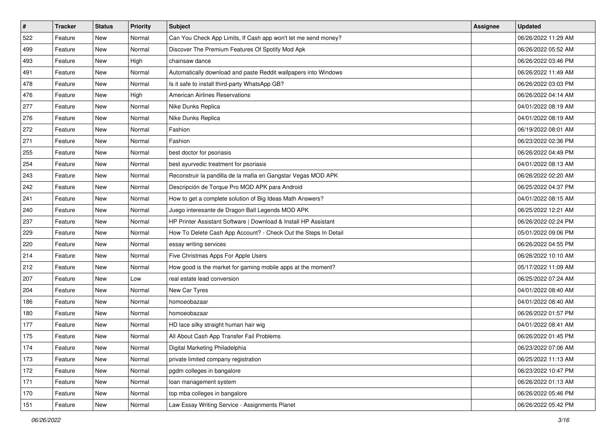| #   | <b>Tracker</b> | <b>Status</b> | <b>Priority</b> | Subject                                                         | <b>Assignee</b> | <b>Updated</b>      |
|-----|----------------|---------------|-----------------|-----------------------------------------------------------------|-----------------|---------------------|
| 522 | Feature        | New           | Normal          | Can You Check App Limits, If Cash app won't let me send money?  |                 | 06/26/2022 11:29 AM |
| 499 | Feature        | New           | Normal          | Discover The Premium Features Of Spotify Mod Apk                |                 | 06/26/2022 05:52 AM |
| 493 | Feature        | New           | High            | chainsaw dance                                                  |                 | 06/26/2022 03:46 PM |
| 491 | Feature        | New           | Normal          | Automatically download and paste Reddit wallpapers into Windows |                 | 06/26/2022 11:49 AM |
| 478 | Feature        | New           | Normal          | Is it safe to install third-party WhatsApp GB?                  |                 | 06/26/2022 03:03 PM |
| 476 | Feature        | New           | High            | <b>American Airlines Reservations</b>                           |                 | 06/26/2022 04:14 AM |
| 277 | Feature        | New           | Normal          | Nike Dunks Replica                                              |                 | 04/01/2022 08:19 AM |
| 276 | Feature        | New           | Normal          | Nike Dunks Replica                                              |                 | 04/01/2022 08:19 AM |
| 272 | Feature        | New           | Normal          | Fashion                                                         |                 | 06/19/2022 08:01 AM |
| 271 | Feature        | New           | Normal          | Fashion                                                         |                 | 06/23/2022 02:36 PM |
| 255 | Feature        | New           | Normal          | best doctor for psoriasis                                       |                 | 06/26/2022 04:49 PM |
| 254 | Feature        | New           | Normal          | best ayurvedic treatment for psoriasis                          |                 | 04/01/2022 08:13 AM |
| 243 | Feature        | New           | Normal          | Reconstruir la pandilla de la mafia en Gangstar Vegas MOD APK   |                 | 06/26/2022 02:20 AM |
| 242 | Feature        | New           | Normal          | Descripción de Torque Pro MOD APK para Android                  |                 | 06/25/2022 04:37 PM |
| 241 | Feature        | New           | Normal          | How to get a complete solution of Big Ideas Math Answers?       |                 | 04/01/2022 08:15 AM |
| 240 | Feature        | New           | Normal          | Juego interesante de Dragon Ball Legends MOD APK                |                 | 06/25/2022 12:21 AM |
| 237 | Feature        | New           | Normal          | HP Printer Assistant Software   Download & Install HP Assistant |                 | 06/26/2022 02:24 PM |
| 229 | Feature        | New           | Normal          | How To Delete Cash App Account? - Check Out the Steps In Detail |                 | 05/01/2022 09:06 PM |
| 220 | Feature        | New           | Normal          | essay writing services                                          |                 | 06/26/2022 04:55 PM |
| 214 | Feature        | New           | Normal          | Five Christmas Apps For Apple Users                             |                 | 06/26/2022 10:10 AM |
| 212 | Feature        | New           | Normal          | How good is the market for gaming mobile apps at the moment?    |                 | 05/17/2022 11:09 AM |
| 207 | Feature        | New           | Low             | real estate lead conversion                                     |                 | 06/25/2022 07:24 AM |
| 204 | Feature        | New           | Normal          | New Car Tyres                                                   |                 | 04/01/2022 08:40 AM |
| 186 | Feature        | New           | Normal          | homoeobazaar                                                    |                 | 04/01/2022 08:40 AM |
| 180 | Feature        | New           | Normal          | homoeobazaar                                                    |                 | 06/26/2022 01:57 PM |
| 177 | Feature        | New           | Normal          | HD lace silky straight human hair wig                           |                 | 04/01/2022 08:41 AM |
| 175 | Feature        | New           | Normal          | All About Cash App Transfer Fail Problems                       |                 | 06/26/2022 01:45 PM |
| 174 | Feature        | New           | Normal          | Digital Marketing Philadelphia                                  |                 | 06/23/2022 07:06 AM |
| 173 | Feature        | New           | Normal          | private limited company registration                            |                 | 06/25/2022 11:13 AM |
| 172 | Feature        | New           | Normal          | pgdm colleges in bangalore                                      |                 | 06/23/2022 10:47 PM |
| 171 | Feature        | New           | Normal          | loan management system                                          |                 | 06/26/2022 01:13 AM |
| 170 | Feature        | New           | Normal          | top mba colleges in bangalore                                   |                 | 06/26/2022 05:46 PM |
| 151 | Feature        | New           | Normal          | Law Essay Writing Service - Assignments Planet                  |                 | 06/26/2022 05:42 PM |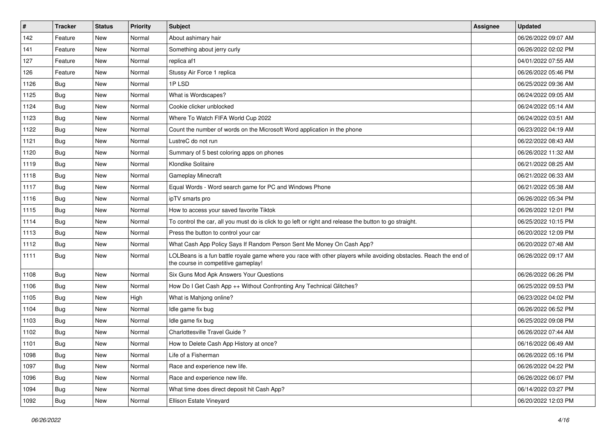| $\vert$ # | Tracker    | <b>Status</b> | <b>Priority</b> | Subject                                                                                                                                                  | <b>Assignee</b> | <b>Updated</b>      |
|-----------|------------|---------------|-----------------|----------------------------------------------------------------------------------------------------------------------------------------------------------|-----------------|---------------------|
| 142       | Feature    | New           | Normal          | About ashimary hair                                                                                                                                      |                 | 06/26/2022 09:07 AM |
| 141       | Feature    | <b>New</b>    | Normal          | Something about jerry curly                                                                                                                              |                 | 06/26/2022 02:02 PM |
| 127       | Feature    | New           | Normal          | replica af1                                                                                                                                              |                 | 04/01/2022 07:55 AM |
| 126       | Feature    | New           | Normal          | Stussy Air Force 1 replica                                                                                                                               |                 | 06/26/2022 05:46 PM |
| 1126      | Bug        | New           | Normal          | 1PLSD                                                                                                                                                    |                 | 06/25/2022 09:36 AM |
| 1125      | Bug        | New           | Normal          | What is Wordscapes?                                                                                                                                      |                 | 06/24/2022 09:05 AM |
| 1124      | Bug        | New           | Normal          | Cookie clicker unblocked                                                                                                                                 |                 | 06/24/2022 05:14 AM |
| 1123      | Bug        | New           | Normal          | Where To Watch FIFA World Cup 2022                                                                                                                       |                 | 06/24/2022 03:51 AM |
| 1122      | <b>Bug</b> | New           | Normal          | Count the number of words on the Microsoft Word application in the phone                                                                                 |                 | 06/23/2022 04:19 AM |
| 1121      | Bug        | New           | Normal          | LustreC do not run                                                                                                                                       |                 | 06/22/2022 08:43 AM |
| 1120      | <b>Bug</b> | New           | Normal          | Summary of 5 best coloring apps on phones                                                                                                                |                 | 06/26/2022 11:32 AM |
| 1119      | Bug        | New           | Normal          | Klondike Solitaire                                                                                                                                       |                 | 06/21/2022 08:25 AM |
| 1118      | Bug        | New           | Normal          | Gameplay Minecraft                                                                                                                                       |                 | 06/21/2022 06:33 AM |
| 1117      | Bug        | New           | Normal          | Equal Words - Word search game for PC and Windows Phone                                                                                                  |                 | 06/21/2022 05:38 AM |
| 1116      | Bug        | New           | Normal          | ipTV smarts pro                                                                                                                                          |                 | 06/26/2022 05:34 PM |
| 1115      | <b>Bug</b> | New           | Normal          | How to access your saved favorite Tiktok                                                                                                                 |                 | 06/26/2022 12:01 PM |
| 1114      | <b>Bug</b> | New           | Normal          | To control the car, all you must do is click to go left or right and release the button to go straight.                                                  |                 | 06/25/2022 10:15 PM |
| 1113      | Bug        | New           | Normal          | Press the button to control your car                                                                                                                     |                 | 06/20/2022 12:09 PM |
| 1112      | Bug        | New           | Normal          | What Cash App Policy Says If Random Person Sent Me Money On Cash App?                                                                                    |                 | 06/20/2022 07:48 AM |
| 1111      | <b>Bug</b> | New           | Normal          | LOLBeans is a fun battle royale game where you race with other players while avoiding obstacles. Reach the end of<br>the course in competitive gameplay! |                 | 06/26/2022 09:17 AM |
| 1108      | Bug        | New           | Normal          | Six Guns Mod Apk Answers Your Questions                                                                                                                  |                 | 06/26/2022 06:26 PM |
| 1106      | Bug        | New           | Normal          | How Do I Get Cash App ++ Without Confronting Any Technical Glitches?                                                                                     |                 | 06/25/2022 09:53 PM |
| 1105      | <b>Bug</b> | New           | High            | What is Mahjong online?                                                                                                                                  |                 | 06/23/2022 04:02 PM |
| 1104      | Bug        | New           | Normal          | Idle game fix bug                                                                                                                                        |                 | 06/26/2022 06:52 PM |
| 1103      | Bug        | New           | Normal          | Idle game fix bug                                                                                                                                        |                 | 06/25/2022 09:08 PM |
| 1102      | Bug        | New           | Normal          | Charlottesville Travel Guide?                                                                                                                            |                 | 06/26/2022 07:44 AM |
| 1101      | <b>Bug</b> | New           | Normal          | How to Delete Cash App History at once?                                                                                                                  |                 | 06/16/2022 06:49 AM |
| 1098      | <b>Bug</b> | New           | Normal          | Life of a Fisherman                                                                                                                                      |                 | 06/26/2022 05:16 PM |
| 1097      | <b>Bug</b> | New           | Normal          | Race and experience new life.                                                                                                                            |                 | 06/26/2022 04:22 PM |
| 1096      | <b>Bug</b> | New           | Normal          | Race and experience new life.                                                                                                                            |                 | 06/26/2022 06:07 PM |
| 1094      | <b>Bug</b> | New           | Normal          | What time does direct deposit hit Cash App?                                                                                                              |                 | 06/14/2022 03:27 PM |
| 1092      | <b>Bug</b> | New           | Normal          | Ellison Estate Vineyard                                                                                                                                  |                 | 06/20/2022 12:03 PM |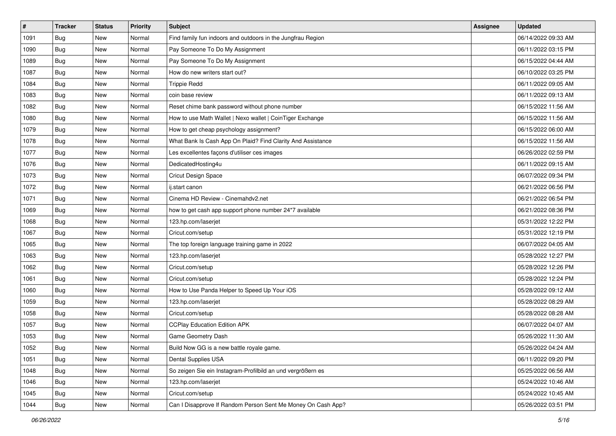| $\pmb{\#}$ | <b>Tracker</b> | <b>Status</b> | <b>Priority</b> | <b>Subject</b>                                               | <b>Assignee</b> | <b>Updated</b>      |
|------------|----------------|---------------|-----------------|--------------------------------------------------------------|-----------------|---------------------|
| 1091       | Bug            | New           | Normal          | Find family fun indoors and outdoors in the Jungfrau Region  |                 | 06/14/2022 09:33 AM |
| 1090       | Bug            | New           | Normal          | Pay Someone To Do My Assignment                              |                 | 06/11/2022 03:15 PM |
| 1089       | Bug            | New           | Normal          | Pay Someone To Do My Assignment                              |                 | 06/15/2022 04:44 AM |
| 1087       | Bug            | New           | Normal          | How do new writers start out?                                |                 | 06/10/2022 03:25 PM |
| 1084       | Bug            | <b>New</b>    | Normal          | <b>Trippie Redd</b>                                          |                 | 06/11/2022 09:05 AM |
| 1083       | Bug            | New           | Normal          | coin base review                                             |                 | 06/11/2022 09:13 AM |
| 1082       | Bug            | New           | Normal          | Reset chime bank password without phone number               |                 | 06/15/2022 11:56 AM |
| 1080       | Bug            | New           | Normal          | How to use Math Wallet   Nexo wallet   CoinTiger Exchange    |                 | 06/15/2022 11:56 AM |
| 1079       | <b>Bug</b>     | New           | Normal          | How to get cheap psychology assignment?                      |                 | 06/15/2022 06:00 AM |
| 1078       | Bug            | New           | Normal          | What Bank Is Cash App On Plaid? Find Clarity And Assistance  |                 | 06/15/2022 11:56 AM |
| 1077       | Bug            | New           | Normal          | Les excellentes façons d'utiliser ces images                 |                 | 06/26/2022 02:59 PM |
| 1076       | Bug            | New           | Normal          | DedicatedHosting4u                                           |                 | 06/11/2022 09:15 AM |
| 1073       | Bug            | New           | Normal          | Cricut Design Space                                          |                 | 06/07/2022 09:34 PM |
| 1072       | <b>Bug</b>     | New           | Normal          | ij.start canon                                               |                 | 06/21/2022 06:56 PM |
| 1071       | <b>Bug</b>     | New           | Normal          | Cinema HD Review - Cinemahdv2.net                            |                 | 06/21/2022 06:54 PM |
| 1069       | Bug            | New           | Normal          | how to get cash app support phone number 24*7 available      |                 | 06/21/2022 08:36 PM |
| 1068       | <b>Bug</b>     | New           | Normal          | 123.hp.com/laserjet                                          |                 | 05/31/2022 12:22 PM |
| 1067       | Bug            | <b>New</b>    | Normal          | Cricut.com/setup                                             |                 | 05/31/2022 12:19 PM |
| 1065       | Bug            | New           | Normal          | The top foreign language training game in 2022               |                 | 06/07/2022 04:05 AM |
| 1063       | <b>Bug</b>     | New           | Normal          | 123.hp.com/laserjet                                          |                 | 05/28/2022 12:27 PM |
| 1062       | <b>Bug</b>     | New           | Normal          | Cricut.com/setup                                             |                 | 05/28/2022 12:26 PM |
| 1061       | <b>Bug</b>     | New           | Normal          | Cricut.com/setup                                             |                 | 05/28/2022 12:24 PM |
| 1060       | Bug            | <b>New</b>    | Normal          | How to Use Panda Helper to Speed Up Your iOS                 |                 | 05/28/2022 09:12 AM |
| 1059       | Bug            | New           | Normal          | 123.hp.com/laserjet                                          |                 | 05/28/2022 08:29 AM |
| 1058       | Bug            | New           | Normal          | Cricut.com/setup                                             |                 | 05/28/2022 08:28 AM |
| 1057       | Bug            | New           | Normal          | <b>CCPlay Education Edition APK</b>                          |                 | 06/07/2022 04:07 AM |
| 1053       | <b>Bug</b>     | New           | Normal          | Game Geometry Dash                                           |                 | 05/26/2022 11:30 AM |
| 1052       | <b>Bug</b>     | New           | Normal          | Build Now GG is a new battle royale game.                    |                 | 05/26/2022 04:24 AM |
| 1051       | Bug            | New           | Normal          | Dental Supplies USA                                          |                 | 06/11/2022 09:20 PM |
| 1048       | Bug            | New           | Normal          | So zeigen Sie ein Instagram-Profilbild an und vergrößern es  |                 | 05/25/2022 06:56 AM |
| 1046       | Bug            | New           | Normal          | 123.hp.com/laserjet                                          |                 | 05/24/2022 10:46 AM |
| 1045       | Bug            | New           | Normal          | Cricut.com/setup                                             |                 | 05/24/2022 10:45 AM |
| 1044       | <b>Bug</b>     | New           | Normal          | Can I Disapprove If Random Person Sent Me Money On Cash App? |                 | 05/26/2022 03:51 PM |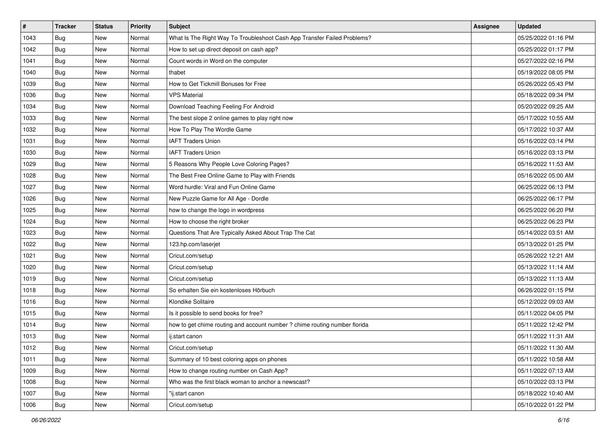| $\vert$ # | Tracker    | <b>Status</b> | <b>Priority</b> | <b>Subject</b>                                                             | Assignee | <b>Updated</b>      |
|-----------|------------|---------------|-----------------|----------------------------------------------------------------------------|----------|---------------------|
| 1043      | <b>Bug</b> | New           | Normal          | What Is The Right Way To Troubleshoot Cash App Transfer Failed Problems?   |          | 05/25/2022 01:16 PM |
| 1042      | Bug        | New           | Normal          | How to set up direct deposit on cash app?                                  |          | 05/25/2022 01:17 PM |
| 1041      | Bug        | New           | Normal          | Count words in Word on the computer                                        |          | 05/27/2022 02:16 PM |
| 1040      | Bug        | <b>New</b>    | Normal          | thabet                                                                     |          | 05/19/2022 08:05 PM |
| 1039      | Bug        | <b>New</b>    | Normal          | How to Get Tickmill Bonuses for Free                                       |          | 05/26/2022 05:43 PM |
| 1036      | Bug        | New           | Normal          | <b>VPS Material</b>                                                        |          | 05/18/2022 09:34 PM |
| 1034      | Bug        | New           | Normal          | Download Teaching Feeling For Android                                      |          | 05/20/2022 09:25 AM |
| 1033      | Bug        | <b>New</b>    | Normal          | The best slope 2 online games to play right now                            |          | 05/17/2022 10:55 AM |
| 1032      | Bug        | New           | Normal          | How To Play The Wordle Game                                                |          | 05/17/2022 10:37 AM |
| 1031      | Bug        | New           | Normal          | <b>IAFT Traders Union</b>                                                  |          | 05/16/2022 03:14 PM |
| 1030      | Bug        | New           | Normal          | <b>IAFT Traders Union</b>                                                  |          | 05/16/2022 03:13 PM |
| 1029      | Bug        | <b>New</b>    | Normal          | 5 Reasons Why People Love Coloring Pages?                                  |          | 05/16/2022 11:53 AM |
| 1028      | Bug        | <b>New</b>    | Normal          | The Best Free Online Game to Play with Friends                             |          | 05/16/2022 05:00 AM |
| 1027      | <b>Bug</b> | New           | Normal          | Word hurdle: Viral and Fun Online Game                                     |          | 06/25/2022 06:13 PM |
| 1026      | Bug        | New           | Normal          | New Puzzle Game for All Age - Dordle                                       |          | 06/25/2022 06:17 PM |
| 1025      | Bug        | New           | Normal          | how to change the logo in wordpress                                        |          | 06/25/2022 06:20 PM |
| 1024      | Bug        | <b>New</b>    | Normal          | How to choose the right broker                                             |          | 06/25/2022 06:23 PM |
| 1023      | Bug        | <b>New</b>    | Normal          | Questions That Are Typically Asked About Trap The Cat                      |          | 05/14/2022 03:51 AM |
| 1022      | <b>Bug</b> | New           | Normal          | 123.hp.com/laserjet                                                        |          | 05/13/2022 01:25 PM |
| 1021      | Bug        | New           | Normal          | Cricut.com/setup                                                           |          | 05/26/2022 12:21 AM |
| 1020      | <b>Bug</b> | New           | Normal          | Cricut.com/setup                                                           |          | 05/13/2022 11:14 AM |
| 1019      | Bug        | <b>New</b>    | Normal          | Cricut.com/setup                                                           |          | 05/13/2022 11:13 AM |
| 1018      | Bug        | New           | Normal          | So erhalten Sie ein kostenloses Hörbuch                                    |          | 06/26/2022 01:15 PM |
| 1016      | Bug        | New           | Normal          | Klondike Solitaire                                                         |          | 05/12/2022 09:03 AM |
| 1015      | Bug        | New           | Normal          | Is it possible to send books for free?                                     |          | 05/11/2022 04:05 PM |
| 1014      | Bug        | <b>New</b>    | Normal          | how to get chime routing and account number ? chime routing number florida |          | 05/11/2022 12:42 PM |
| 1013      | <b>Bug</b> | New           | Normal          | ij.start canon                                                             |          | 05/11/2022 11:31 AM |
| 1012      | Bug        | New           | Normal          | Cricut.com/setup                                                           |          | 05/11/2022 11:30 AM |
| 1011      | Bug        | New           | Normal          | Summary of 10 best coloring apps on phones                                 |          | 05/11/2022 10:58 AM |
| 1009      | Bug        | New           | Normal          | How to change routing number on Cash App?                                  |          | 05/11/2022 07:13 AM |
| 1008      | Bug        | New           | Normal          | Who was the first black woman to anchor a newscast?                        |          | 05/10/2022 03:13 PM |
| 1007      | Bug        | New           | Normal          | "ij.start canon                                                            |          | 05/18/2022 10:40 AM |
| 1006      | <b>Bug</b> | New           | Normal          | Cricut.com/setup                                                           |          | 05/10/2022 01:22 PM |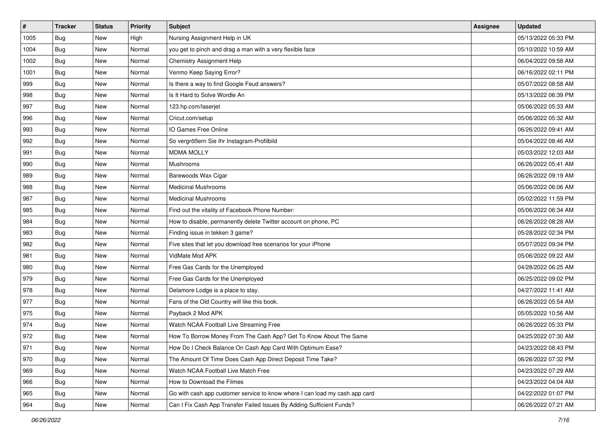| $\vert$ # | <b>Tracker</b> | <b>Status</b> | <b>Priority</b> | Subject                                                                     | <b>Assignee</b> | <b>Updated</b>      |
|-----------|----------------|---------------|-----------------|-----------------------------------------------------------------------------|-----------------|---------------------|
| 1005      | <b>Bug</b>     | New           | High            | Nursing Assignment Help in UK                                               |                 | 05/13/2022 05:33 PM |
| 1004      | <b>Bug</b>     | New           | Normal          | you get to pinch and drag a man with a very flexible face                   |                 | 05/10/2022 10:59 AM |
| 1002      | Bug            | New           | Normal          | Chemistry Assignment Help                                                   |                 | 06/04/2022 09:58 AM |
| 1001      | <b>Bug</b>     | New           | Normal          | Venmo Keep Saying Error?                                                    |                 | 06/16/2022 02:11 PM |
| 999       | Bug            | New           | Normal          | Is there a way to find Google Feud answers?                                 |                 | 05/07/2022 08:58 AM |
| 998       | <b>Bug</b>     | New           | Normal          | Is It Hard to Solve Wordle An                                               |                 | 05/13/2022 06:39 PM |
| 997       | Bug            | New           | Normal          | 123.hp.com/laserjet                                                         |                 | 05/06/2022 05:33 AM |
| 996       | <b>Bug</b>     | New           | Normal          | Cricut.com/setup                                                            |                 | 05/06/2022 05:32 AM |
| 993       | Bug            | New           | Normal          | IO Games Free Online                                                        |                 | 06/26/2022 09:41 AM |
| 992       | Bug            | New           | Normal          | So vergrößern Sie Ihr Instagram-Profilbild                                  |                 | 05/04/2022 08:46 AM |
| 991       | <b>Bug</b>     | New           | Normal          | <b>MDMA MOLLY</b>                                                           |                 | 05/03/2022 12:03 AM |
| 990       | Bug            | New           | Normal          | Mushrooms                                                                   |                 | 06/26/2022 05:41 AM |
| 989       | <b>Bug</b>     | New           | Normal          | Barewoods Wax Cigar                                                         |                 | 06/26/2022 09:19 AM |
| 988       | Bug            | New           | Normal          | <b>Medicinal Mushrooms</b>                                                  |                 | 05/06/2022 06:06 AM |
| 987       | <b>Bug</b>     | New           | Normal          | <b>Medicinal Mushrooms</b>                                                  |                 | 05/02/2022 11:59 PM |
| 985       | Bug            | New           | Normal          | Find out the vitality of Facebook Phone Number:                             |                 | 05/06/2022 06:34 AM |
| 984       | <b>Bug</b>     | New           | Normal          | How to disable, permanently delete Twitter account on phone, PC             |                 | 06/26/2022 08:28 AM |
| 983       | Bug            | New           | Normal          | Finding issue in tekken 3 game?                                             |                 | 05/28/2022 02:34 PM |
| 982       | <b>Bug</b>     | New           | Normal          | Five sites that let you download free scenarios for your iPhone             |                 | 05/07/2022 09:34 PM |
| 981       | Bug            | New           | Normal          | VidMate Mod APK                                                             |                 | 05/06/2022 09:22 AM |
| 980       | Bug            | New           | Normal          | Free Gas Cards for the Unemployed                                           |                 | 04/28/2022 06:25 AM |
| 979       | <b>Bug</b>     | New           | Normal          | Free Gas Cards for the Unemployed                                           |                 | 06/25/2022 09:02 PM |
| 978       | Bug            | New           | Normal          | Delamore Lodge is a place to stay.                                          |                 | 04/27/2022 11:41 AM |
| 977       | <b>Bug</b>     | New           | Normal          | Fans of the Old Country will like this book.                                |                 | 06/26/2022 05:54 AM |
| 975       | <b>Bug</b>     | New           | Normal          | Payback 2 Mod APK                                                           |                 | 05/05/2022 10:56 AM |
| 974       | Bug            | New           | Normal          | Watch NCAA Football Live Streaming Free                                     |                 | 06/26/2022 05:33 PM |
| 972       | <b>Bug</b>     | New           | Normal          | How To Borrow Money From The Cash App? Get To Know About The Same           |                 | 04/25/2022 07:30 AM |
| 971       | <b>Bug</b>     | New           | Normal          | How Do I Check Balance On Cash App Card With Optimum Ease?                  |                 | 04/23/2022 08:43 PM |
| 970       | Bug            | New           | Normal          | The Amount Of Time Does Cash App Direct Deposit Time Take?                  |                 | 06/26/2022 07:32 PM |
| 969       | Bug            | New           | Normal          | Watch NCAA Football Live Match Free                                         |                 | 04/23/2022 07:29 AM |
| 966       | Bug            | New           | Normal          | How to Download the Filmes                                                  |                 | 04/23/2022 04:04 AM |
| 965       | <b>Bug</b>     | New           | Normal          | Go with cash app customer service to know where I can load my cash app card |                 | 04/22/2022 01:07 PM |
| 964       | Bug            | New           | Normal          | Can I Fix Cash App Transfer Failed Issues By Adding Sufficient Funds?       |                 | 06/26/2022 07:21 AM |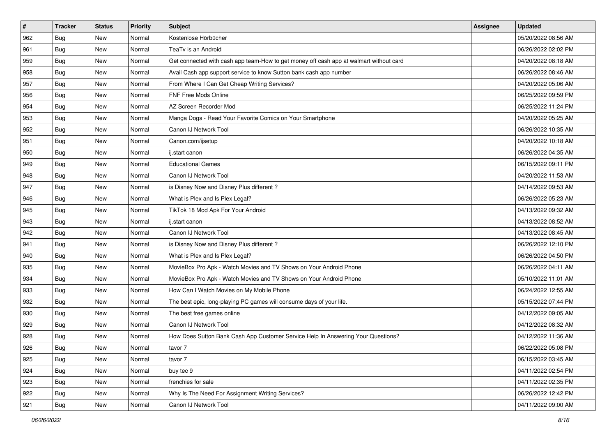| #   | <b>Tracker</b> | <b>Status</b> | <b>Priority</b> | Subject                                                                                | <b>Assignee</b> | <b>Updated</b>      |
|-----|----------------|---------------|-----------------|----------------------------------------------------------------------------------------|-----------------|---------------------|
| 962 | <b>Bug</b>     | New           | Normal          | Kostenlose Hörbücher                                                                   |                 | 05/20/2022 08:56 AM |
| 961 | Bug            | New           | Normal          | TeaTv is an Android                                                                    |                 | 06/26/2022 02:02 PM |
| 959 | Bug            | New           | Normal          | Get connected with cash app team-How to get money off cash app at walmart without card |                 | 04/20/2022 08:18 AM |
| 958 | <b>Bug</b>     | New           | Normal          | Avail Cash app support service to know Sutton bank cash app number                     |                 | 06/26/2022 08:46 AM |
| 957 | Bug            | New           | Normal          | From Where I Can Get Cheap Writing Services?                                           |                 | 04/20/2022 05:06 AM |
| 956 | <b>Bug</b>     | New           | Normal          | FNF Free Mods Online                                                                   |                 | 06/25/2022 09:59 PM |
| 954 | <b>Bug</b>     | New           | Normal          | AZ Screen Recorder Mod                                                                 |                 | 06/25/2022 11:24 PM |
| 953 | <b>Bug</b>     | New           | Normal          | Manga Dogs - Read Your Favorite Comics on Your Smartphone                              |                 | 04/20/2022 05:25 AM |
| 952 | Bug            | New           | Normal          | Canon IJ Network Tool                                                                  |                 | 06/26/2022 10:35 AM |
| 951 | Bug            | New           | Normal          | Canon.com/ijsetup                                                                      |                 | 04/20/2022 10:18 AM |
| 950 | <b>Bug</b>     | New           | Normal          | ij.start canon                                                                         |                 | 06/26/2022 04:35 AM |
| 949 | <b>Bug</b>     | New           | Normal          | <b>Educational Games</b>                                                               |                 | 06/15/2022 09:11 PM |
| 948 | Bug            | New           | Normal          | Canon IJ Network Tool                                                                  |                 | 04/20/2022 11:53 AM |
| 947 | <b>Bug</b>     | New           | Normal          | is Disney Now and Disney Plus different?                                               |                 | 04/14/2022 09:53 AM |
| 946 | <b>Bug</b>     | New           | Normal          | What is Plex and Is Plex Legal?                                                        |                 | 06/26/2022 05:23 AM |
| 945 | <b>Bug</b>     | New           | Normal          | TikTok 18 Mod Apk For Your Android                                                     |                 | 04/13/2022 09:32 AM |
| 943 | <b>Bug</b>     | New           | Normal          | ij.start canon                                                                         |                 | 04/13/2022 08:52 AM |
| 942 | Bug            | New           | Normal          | Canon IJ Network Tool                                                                  |                 | 04/13/2022 08:45 AM |
| 941 | <b>Bug</b>     | New           | Normal          | is Disney Now and Disney Plus different?                                               |                 | 06/26/2022 12:10 PM |
| 940 | Bug            | New           | Normal          | What is Plex and Is Plex Legal?                                                        |                 | 06/26/2022 04:50 PM |
| 935 | Bug            | New           | Normal          | MovieBox Pro Apk - Watch Movies and TV Shows on Your Android Phone                     |                 | 06/26/2022 04:11 AM |
| 934 | Bug            | New           | Normal          | MovieBox Pro Apk - Watch Movies and TV Shows on Your Android Phone                     |                 | 05/10/2022 11:01 AM |
| 933 | Bug            | New           | Normal          | How Can I Watch Movies on My Mobile Phone                                              |                 | 06/24/2022 12:55 AM |
| 932 | <b>Bug</b>     | New           | Normal          | The best epic, long-playing PC games will consume days of your life.                   |                 | 05/15/2022 07:44 PM |
| 930 | <b>Bug</b>     | New           | Normal          | The best free games online                                                             |                 | 04/12/2022 09:05 AM |
| 929 | Bug            | New           | Normal          | Canon IJ Network Tool                                                                  |                 | 04/12/2022 08:32 AM |
| 928 | <b>Bug</b>     | New           | Normal          | How Does Sutton Bank Cash App Customer Service Help In Answering Your Questions?       |                 | 04/12/2022 11:36 AM |
| 926 | Bug            | New           | Normal          | tavor 7                                                                                |                 | 06/22/2022 05:08 PM |
| 925 | Bug            | New           | Normal          | tavor 7                                                                                |                 | 06/15/2022 03:45 AM |
| 924 | <b>Bug</b>     | New           | Normal          | buy tec 9                                                                              |                 | 04/11/2022 02:54 PM |
| 923 | Bug            | New           | Normal          | frenchies for sale                                                                     |                 | 04/11/2022 02:35 PM |
| 922 | <b>Bug</b>     | New           | Normal          | Why Is The Need For Assignment Writing Services?                                       |                 | 06/26/2022 12:42 PM |
| 921 | <b>Bug</b>     | New           | Normal          | Canon IJ Network Tool                                                                  |                 | 04/11/2022 09:00 AM |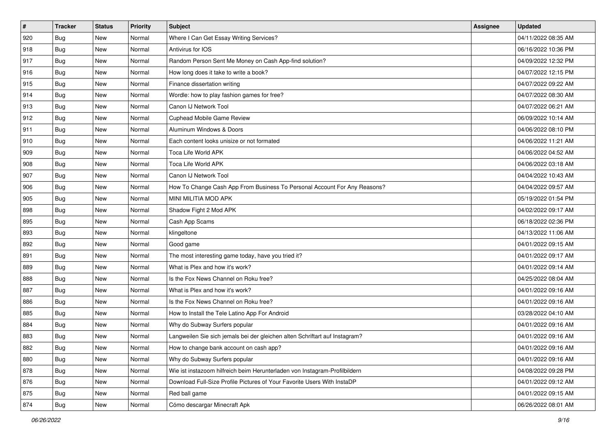| $\sharp$ | <b>Tracker</b> | <b>Status</b> | Priority | Subject                                                                     | Assignee | <b>Updated</b>      |
|----------|----------------|---------------|----------|-----------------------------------------------------------------------------|----------|---------------------|
| 920      | <b>Bug</b>     | New           | Normal   | Where I Can Get Essay Writing Services?                                     |          | 04/11/2022 08:35 AM |
| 918      | Bug            | New           | Normal   | Antivirus for IOS                                                           |          | 06/16/2022 10:36 PM |
| 917      | Bug            | New           | Normal   | Random Person Sent Me Money on Cash App-find solution?                      |          | 04/09/2022 12:32 PM |
| 916      | <b>Bug</b>     | New           | Normal   | How long does it take to write a book?                                      |          | 04/07/2022 12:15 PM |
| 915      | Bug            | New           | Normal   | Finance dissertation writing                                                |          | 04/07/2022 09:22 AM |
| 914      | <b>Bug</b>     | New           | Normal   | Wordle: how to play fashion games for free?                                 |          | 04/07/2022 08:30 AM |
| 913      | Bug            | New           | Normal   | Canon IJ Network Tool                                                       |          | 04/07/2022 06:21 AM |
| 912      | <b>Bug</b>     | New           | Normal   | Cuphead Mobile Game Review                                                  |          | 06/09/2022 10:14 AM |
| 911      | Bug            | New           | Normal   | Aluminum Windows & Doors                                                    |          | 04/06/2022 08:10 PM |
| 910      | <b>Bug</b>     | New           | Normal   | Each content looks unisize or not formated                                  |          | 04/06/2022 11:21 AM |
| 909      | <b>Bug</b>     | New           | Normal   | Toca Life World APK                                                         |          | 04/06/2022 04:52 AM |
| 908      | <b>Bug</b>     | New           | Normal   | <b>Toca Life World APK</b>                                                  |          | 04/06/2022 03:18 AM |
| 907      | Bug            | New           | Normal   | Canon IJ Network Tool                                                       |          | 04/04/2022 10:43 AM |
| 906      | <b>Bug</b>     | New           | Normal   | How To Change Cash App From Business To Personal Account For Any Reasons?   |          | 04/04/2022 09:57 AM |
| 905      | <b>Bug</b>     | New           | Normal   | MINI MILITIA MOD APK                                                        |          | 05/19/2022 01:54 PM |
| 898      | Bug            | New           | Normal   | Shadow Fight 2 Mod APK                                                      |          | 04/02/2022 09:17 AM |
| 895      | <b>Bug</b>     | New           | Normal   | Cash App Scams                                                              |          | 06/18/2022 02:36 PM |
| 893      | Bug            | New           | Normal   | klingeltone                                                                 |          | 04/13/2022 11:06 AM |
| 892      | Bug            | New           | Normal   | Good game                                                                   |          | 04/01/2022 09:15 AM |
| 891      | Bug            | New           | Normal   | The most interesting game today, have you tried it?                         |          | 04/01/2022 09:17 AM |
| 889      | Bug            | New           | Normal   | What is Plex and how it's work?                                             |          | 04/01/2022 09:14 AM |
| 888      | Bug            | New           | Normal   | Is the Fox News Channel on Roku free?                                       |          | 04/25/2022 08:04 AM |
| 887      | Bug            | New           | Normal   | What is Plex and how it's work?                                             |          | 04/01/2022 09:16 AM |
| 886      | <b>Bug</b>     | New           | Normal   | Is the Fox News Channel on Roku free?                                       |          | 04/01/2022 09:16 AM |
| 885      | <b>Bug</b>     | New           | Normal   | How to Install the Tele Latino App For Android                              |          | 03/28/2022 04:10 AM |
| 884      | Bug            | New           | Normal   | Why do Subway Surfers popular                                               |          | 04/01/2022 09:16 AM |
| 883      | Bug            | New           | Normal   | Langweilen Sie sich jemals bei der gleichen alten Schriftart auf Instagram? |          | 04/01/2022 09:16 AM |
| 882      | Bug            | New           | Normal   | How to change bank account on cash app?                                     |          | 04/01/2022 09:16 AM |
| 880      | Bug            | New           | Normal   | Why do Subway Surfers popular                                               |          | 04/01/2022 09:16 AM |
| 878      | <b>Bug</b>     | New           | Normal   | Wie ist instazoom hilfreich beim Herunterladen von Instagram-Profilbildern  |          | 04/08/2022 09:28 PM |
| 876      | Bug            | New           | Normal   | Download Full-Size Profile Pictures of Your Favorite Users With InstaDP     |          | 04/01/2022 09:12 AM |
| 875      | <b>Bug</b>     | New           | Normal   | Red ball game                                                               |          | 04/01/2022 09:15 AM |
| 874      | <b>Bug</b>     | New           | Normal   | Cómo descargar Minecraft Apk                                                |          | 06/26/2022 08:01 AM |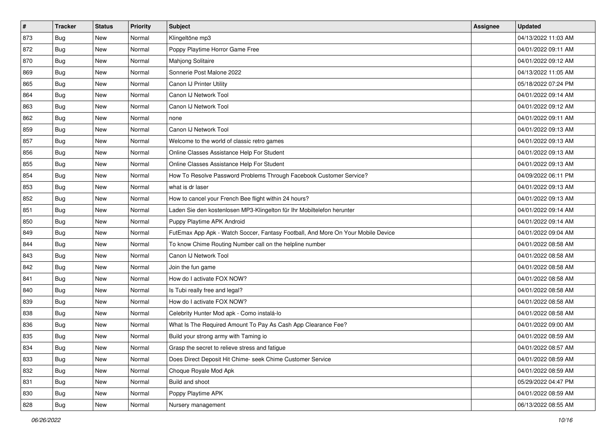| $\vert$ # | <b>Tracker</b> | <b>Status</b> | <b>Priority</b> | Subject                                                                          | <b>Assignee</b> | <b>Updated</b>      |
|-----------|----------------|---------------|-----------------|----------------------------------------------------------------------------------|-----------------|---------------------|
| 873       | <b>Bug</b>     | New           | Normal          | Klingeltöne mp3                                                                  |                 | 04/13/2022 11:03 AM |
| 872       | <b>Bug</b>     | New           | Normal          | Poppy Playtime Horror Game Free                                                  |                 | 04/01/2022 09:11 AM |
| 870       | Bug            | New           | Normal          | Mahjong Solitaire                                                                |                 | 04/01/2022 09:12 AM |
| 869       | <b>Bug</b>     | New           | Normal          | Sonnerie Post Malone 2022                                                        |                 | 04/13/2022 11:05 AM |
| 865       | Bug            | New           | Normal          | Canon IJ Printer Utility                                                         |                 | 05/18/2022 07:24 PM |
| 864       | <b>Bug</b>     | New           | Normal          | Canon IJ Network Tool                                                            |                 | 04/01/2022 09:14 AM |
| 863       | Bug            | New           | Normal          | Canon IJ Network Tool                                                            |                 | 04/01/2022 09:12 AM |
| 862       | <b>Bug</b>     | New           | Normal          | none                                                                             |                 | 04/01/2022 09:11 AM |
| 859       | <b>Bug</b>     | New           | Normal          | Canon IJ Network Tool                                                            |                 | 04/01/2022 09:13 AM |
| 857       | Bug            | New           | Normal          | Welcome to the world of classic retro games                                      |                 | 04/01/2022 09:13 AM |
| 856       | <b>Bug</b>     | New           | Normal          | Online Classes Assistance Help For Student                                       |                 | 04/01/2022 09:13 AM |
| 855       | <b>Bug</b>     | New           | Normal          | Online Classes Assistance Help For Student                                       |                 | 04/01/2022 09:13 AM |
| 854       | Bug            | New           | Normal          | How To Resolve Password Problems Through Facebook Customer Service?              |                 | 04/09/2022 06:11 PM |
| 853       | <b>Bug</b>     | New           | Normal          | what is dr laser                                                                 |                 | 04/01/2022 09:13 AM |
| 852       | <b>Bug</b>     | New           | Normal          | How to cancel your French Bee flight within 24 hours?                            |                 | 04/01/2022 09:13 AM |
| 851       | Bug            | New           | Normal          | Laden Sie den kostenlosen MP3-Klingelton für Ihr Mobiltelefon herunter           |                 | 04/01/2022 09:14 AM |
| 850       | <b>Bug</b>     | New           | Normal          | Puppy Playtime APK Android                                                       |                 | 04/01/2022 09:14 AM |
| 849       | Bug            | New           | Normal          | FutEmax App Apk - Watch Soccer, Fantasy Football, And More On Your Mobile Device |                 | 04/01/2022 09:04 AM |
| 844       | <b>Bug</b>     | New           | Normal          | To know Chime Routing Number call on the helpline number                         |                 | 04/01/2022 08:58 AM |
| 843       | <b>Bug</b>     | New           | Normal          | Canon IJ Network Tool                                                            |                 | 04/01/2022 08:58 AM |
| 842       | <b>Bug</b>     | New           | Normal          | Join the fun game                                                                |                 | 04/01/2022 08:58 AM |
| 841       | <b>Bug</b>     | New           | Normal          | How do I activate FOX NOW?                                                       |                 | 04/01/2022 08:58 AM |
| 840       | Bug            | New           | Normal          | Is Tubi really free and legal?                                                   |                 | 04/01/2022 08:58 AM |
| 839       | <b>Bug</b>     | New           | Normal          | How do I activate FOX NOW?                                                       |                 | 04/01/2022 08:58 AM |
| 838       | <b>Bug</b>     | New           | Normal          | Celebrity Hunter Mod apk - Como instalá-lo                                       |                 | 04/01/2022 08:58 AM |
| 836       | Bug            | New           | Normal          | What Is The Required Amount To Pay As Cash App Clearance Fee?                    |                 | 04/01/2022 09:00 AM |
| 835       | <b>Bug</b>     | New           | Normal          | Build your strong army with Taming io                                            |                 | 04/01/2022 08:59 AM |
| 834       | <b>Bug</b>     | New           | Normal          | Grasp the secret to relieve stress and fatigue                                   |                 | 04/01/2022 08:57 AM |
| 833       | Bug            | New           | Normal          | Does Direct Deposit Hit Chime- seek Chime Customer Service                       |                 | 04/01/2022 08:59 AM |
| 832       | Bug            | New           | Normal          | Choque Royale Mod Apk                                                            |                 | 04/01/2022 08:59 AM |
| 831       | Bug            | New           | Normal          | Build and shoot                                                                  |                 | 05/29/2022 04:47 PM |
| 830       | <b>Bug</b>     | New           | Normal          | Poppy Playtime APK                                                               |                 | 04/01/2022 08:59 AM |
| 828       | <b>Bug</b>     | New           | Normal          | Nursery management                                                               |                 | 06/13/2022 08:55 AM |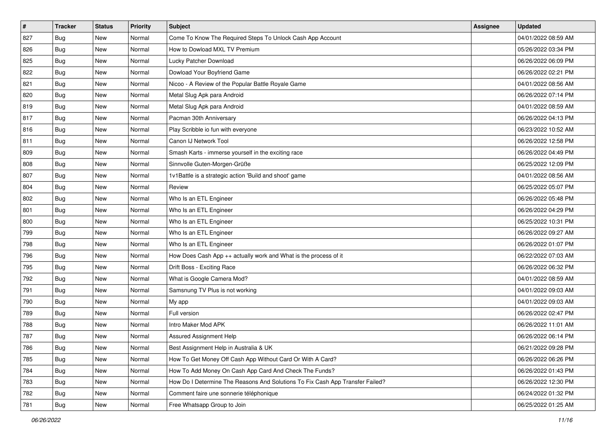| #   | <b>Tracker</b> | <b>Status</b> | <b>Priority</b> | Subject                                                                       | <b>Assignee</b> | <b>Updated</b>      |
|-----|----------------|---------------|-----------------|-------------------------------------------------------------------------------|-----------------|---------------------|
| 827 | <b>Bug</b>     | New           | Normal          | Come To Know The Required Steps To Unlock Cash App Account                    |                 | 04/01/2022 08:59 AM |
| 826 | Bug            | New           | Normal          | How to Dowload MXL TV Premium                                                 |                 | 05/26/2022 03:34 PM |
| 825 | Bug            | New           | Normal          | Lucky Patcher Download                                                        |                 | 06/26/2022 06:09 PM |
| 822 | <b>Bug</b>     | New           | Normal          | Dowload Your Boyfriend Game                                                   |                 | 06/26/2022 02:21 PM |
| 821 | Bug            | New           | Normal          | Nicoo - A Review of the Popular Battle Royale Game                            |                 | 04/01/2022 08:56 AM |
| 820 | <b>Bug</b>     | New           | Normal          | Metal Slug Apk para Android                                                   |                 | 06/26/2022 07:14 PM |
| 819 | <b>Bug</b>     | New           | Normal          | Metal Slug Apk para Android                                                   |                 | 04/01/2022 08:59 AM |
| 817 | <b>Bug</b>     | New           | Normal          | Pacman 30th Anniversary                                                       |                 | 06/26/2022 04:13 PM |
| 816 | <b>Bug</b>     | New           | Normal          | Play Scribble io fun with everyone                                            |                 | 06/23/2022 10:52 AM |
| 811 | Bug            | New           | Normal          | Canon IJ Network Tool                                                         |                 | 06/26/2022 12:58 PM |
| 809 | Bug            | New           | Normal          | Smash Karts - immerse yourself in the exciting race                           |                 | 06/26/2022 04:49 PM |
| 808 | Bug            | New           | Normal          | Sinnvolle Guten-Morgen-Grüße                                                  |                 | 06/25/2022 12:09 PM |
| 807 | Bug            | <b>New</b>    | Normal          | 1v1Battle is a strategic action 'Build and shoot' game                        |                 | 04/01/2022 08:56 AM |
| 804 | Bug            | New           | Normal          | Review                                                                        |                 | 06/25/2022 05:07 PM |
| 802 | <b>Bug</b>     | New           | Normal          | Who Is an ETL Engineer                                                        |                 | 06/26/2022 05:48 PM |
| 801 | <b>Bug</b>     | New           | Normal          | Who Is an ETL Engineer                                                        |                 | 06/26/2022 04:29 PM |
| 800 | <b>Bug</b>     | New           | Normal          | Who Is an ETL Engineer                                                        |                 | 06/25/2022 10:31 PM |
| 799 | Bug            | <b>New</b>    | Normal          | Who Is an ETL Engineer                                                        |                 | 06/26/2022 09:27 AM |
| 798 | <b>Bug</b>     | New           | Normal          | Who Is an ETL Engineer                                                        |                 | 06/26/2022 01:07 PM |
| 796 | Bug            | New           | Normal          | How Does Cash App ++ actually work and What is the process of it              |                 | 06/22/2022 07:03 AM |
| 795 | <b>Bug</b>     | New           | Normal          | Drift Boss - Exciting Race                                                    |                 | 06/26/2022 06:32 PM |
| 792 | <b>Bug</b>     | New           | Normal          | What is Google Camera Mod?                                                    |                 | 04/01/2022 08:59 AM |
| 791 | Bug            | New           | Normal          | Samsnung TV Plus is not working                                               |                 | 04/01/2022 09:03 AM |
| 790 | Bug            | New           | Normal          | My app                                                                        |                 | 04/01/2022 09:03 AM |
| 789 | Bug            | New           | Normal          | Full version                                                                  |                 | 06/26/2022 02:47 PM |
| 788 | Bug            | <b>New</b>    | Normal          | Intro Maker Mod APK                                                           |                 | 06/26/2022 11:01 AM |
| 787 | <b>Bug</b>     | New           | Normal          | Assured Assignment Help                                                       |                 | 06/26/2022 06:14 PM |
| 786 | <b>Bug</b>     | New           | Normal          | Best Assignment Help in Australia & UK                                        |                 | 06/21/2022 09:28 PM |
| 785 | Bug            | New           | Normal          | How To Get Money Off Cash App Without Card Or With A Card?                    |                 | 06/26/2022 06:26 PM |
| 784 | Bug            | New           | Normal          | How To Add Money On Cash App Card And Check The Funds?                        |                 | 06/26/2022 01:43 PM |
| 783 | Bug            | New           | Normal          | How Do I Determine The Reasons And Solutions To Fix Cash App Transfer Failed? |                 | 06/26/2022 12:30 PM |
| 782 | <b>Bug</b>     | New           | Normal          | Comment faire une sonnerie téléphonique                                       |                 | 06/24/2022 01:32 PM |
| 781 | <b>Bug</b>     | New           | Normal          | Free Whatsapp Group to Join                                                   |                 | 06/25/2022 01:25 AM |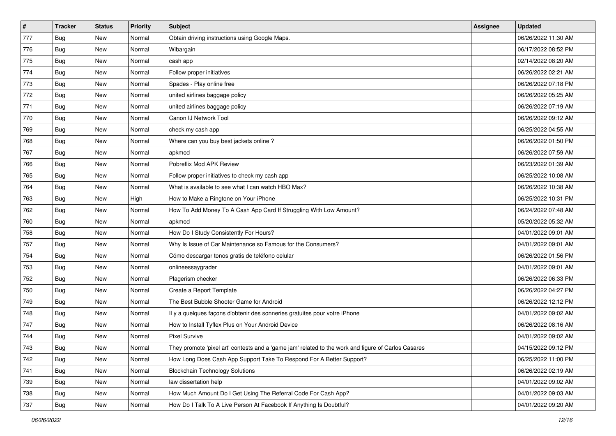| $\vert$ # | <b>Tracker</b> | <b>Status</b> | <b>Priority</b> | <b>Subject</b>                                                                                      | Assignee | <b>Updated</b>      |
|-----------|----------------|---------------|-----------------|-----------------------------------------------------------------------------------------------------|----------|---------------------|
| 777       | <b>Bug</b>     | New           | Normal          | Obtain driving instructions using Google Maps.                                                      |          | 06/26/2022 11:30 AM |
| 776       | Bug            | <b>New</b>    | Normal          | Wibargain                                                                                           |          | 06/17/2022 08:52 PM |
| 775       | Bug            | New           | Normal          | cash app                                                                                            |          | 02/14/2022 08:20 AM |
| 774       | Bug            | New           | Normal          | Follow proper initiatives                                                                           |          | 06/26/2022 02:21 AM |
| 773       | Bug            | <b>New</b>    | Normal          | Spades - Play online free                                                                           |          | 06/26/2022 07:18 PM |
| 772       | <b>Bug</b>     | New           | Normal          | united airlines baggage policy                                                                      |          | 06/26/2022 05:25 AM |
| 771       | Bug            | New           | Normal          | united airlines baggage policy                                                                      |          | 06/26/2022 07:19 AM |
| 770       | <b>Bug</b>     | New           | Normal          | Canon IJ Network Tool                                                                               |          | 06/26/2022 09:12 AM |
| 769       | Bug            | <b>New</b>    | Normal          | check my cash app                                                                                   |          | 06/25/2022 04:55 AM |
| 768       | Bug            | <b>New</b>    | Normal          | Where can you buy best jackets online?                                                              |          | 06/26/2022 01:50 PM |
| 767       | Bug            | New           | Normal          | apkmod                                                                                              |          | 06/26/2022 07:59 AM |
| 766       | Bug            | New           | Normal          | Pobreflix Mod APK Review                                                                            |          | 06/23/2022 01:39 AM |
| 765       | Bug            | <b>New</b>    | Normal          | Follow proper initiatives to check my cash app                                                      |          | 06/25/2022 10:08 AM |
| 764       | <b>Bug</b>     | New           | Normal          | What is available to see what I can watch HBO Max?                                                  |          | 06/26/2022 10:38 AM |
| 763       | <b>Bug</b>     | <b>New</b>    | High            | How to Make a Ringtone on Your iPhone                                                               |          | 06/25/2022 10:31 PM |
| 762       | Bug            | New           | Normal          | How To Add Money To A Cash App Card If Struggling With Low Amount?                                  |          | 06/24/2022 07:48 AM |
| 760       | Bug            | New           | Normal          | apkmod                                                                                              |          | 05/20/2022 05:32 AM |
| 758       | Bug            | <b>New</b>    | Normal          | How Do I Study Consistently For Hours?                                                              |          | 04/01/2022 09:01 AM |
| 757       | Bug            | New           | Normal          | Why Is Issue of Car Maintenance so Famous for the Consumers?                                        |          | 04/01/2022 09:01 AM |
| 754       | Bug            | <b>New</b>    | Normal          | Cómo descargar tonos gratis de teléfono celular                                                     |          | 06/26/2022 01:56 PM |
| 753       | Bug            | New           | Normal          | onlineessaygrader                                                                                   |          | 04/01/2022 09:01 AM |
| 752       | Bug            | <b>New</b>    | Normal          | Plagerism checker                                                                                   |          | 06/26/2022 06:33 PM |
| 750       | Bug            | <b>New</b>    | Normal          | Create a Report Template                                                                            |          | 06/26/2022 04:27 PM |
| 749       | Bug            | New           | Normal          | The Best Bubble Shooter Game for Android                                                            |          | 06/26/2022 12:12 PM |
| 748       | Bug            | New           | Normal          | Il y a quelques façons d'obtenir des sonneries gratuites pour votre iPhone                          |          | 04/01/2022 09:02 AM |
| 747       | Bug            | New           | Normal          | How to Install Tyflex Plus on Your Android Device                                                   |          | 06/26/2022 08:16 AM |
| 744       | Bug            | New           | Normal          | <b>Pixel Survive</b>                                                                                |          | 04/01/2022 09:02 AM |
| 743       | <b>Bug</b>     | New           | Normal          | They promote 'pixel art' contests and a 'game jam' related to the work and figure of Carlos Casares |          | 04/15/2022 09:12 PM |
| 742       | Bug            | New           | Normal          | How Long Does Cash App Support Take To Respond For A Better Support?                                |          | 06/25/2022 11:00 PM |
| 741       | Bug            | New           | Normal          | <b>Blockchain Technology Solutions</b>                                                              |          | 06/26/2022 02:19 AM |
| 739       | Bug            | New           | Normal          | law dissertation help                                                                               |          | 04/01/2022 09:02 AM |
| 738       | Bug            | New           | Normal          | How Much Amount Do I Get Using The Referral Code For Cash App?                                      |          | 04/01/2022 09:03 AM |
| 737       | Bug            | New           | Normal          | How Do I Talk To A Live Person At Facebook If Anything Is Doubtful?                                 |          | 04/01/2022 09:20 AM |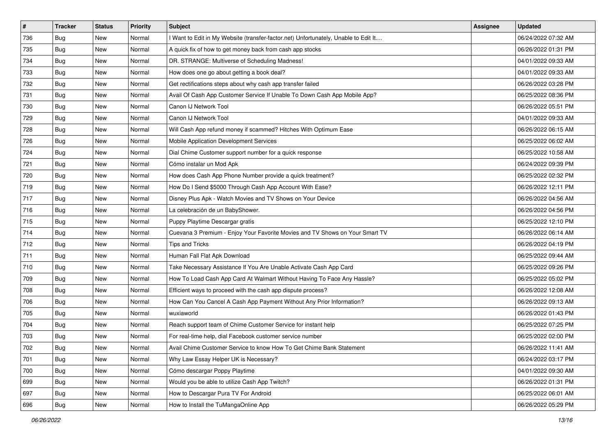| $\pmb{\sharp}$ | <b>Tracker</b> | <b>Status</b> | <b>Priority</b> | <b>Subject</b>                                                                      | Assignee | <b>Updated</b>      |
|----------------|----------------|---------------|-----------------|-------------------------------------------------------------------------------------|----------|---------------------|
| 736            | <b>Bug</b>     | New           | Normal          | I Want to Edit in My Website (transfer-factor.net) Unfortunately, Unable to Edit It |          | 06/24/2022 07:32 AM |
| 735            | Bug            | New           | Normal          | A quick fix of how to get money back from cash app stocks                           |          | 06/26/2022 01:31 PM |
| 734            | Bug            | New           | Normal          | DR. STRANGE: Multiverse of Scheduling Madness!                                      |          | 04/01/2022 09:33 AM |
| 733            | <b>Bug</b>     | New           | Normal          | How does one go about getting a book deal?                                          |          | 04/01/2022 09:33 AM |
| 732            | <b>Bug</b>     | New           | Normal          | Get rectifications steps about why cash app transfer failed                         |          | 06/26/2022 03:28 PM |
| 731            | <b>Bug</b>     | New           | Normal          | Avail Of Cash App Customer Service If Unable To Down Cash App Mobile App?           |          | 06/25/2022 08:36 PM |
| 730            | Bug            | New           | Normal          | Canon IJ Network Tool                                                               |          | 06/26/2022 05:51 PM |
| 729            | Bug            | New           | Normal          | Canon IJ Network Tool                                                               |          | 04/01/2022 09:33 AM |
| 728            | <b>Bug</b>     | New           | Normal          | Will Cash App refund money if scammed? Hitches With Optimum Ease                    |          | 06/26/2022 06:15 AM |
| 726            | Bug            | New           | Normal          | Mobile Application Development Services                                             |          | 06/25/2022 06:02 AM |
| 724            | <b>Bug</b>     | New           | Normal          | Dial Chime Customer support number for a quick response                             |          | 06/25/2022 10:58 AM |
| 721            | <b>Bug</b>     | New           | Normal          | Cómo instalar un Mod Apk                                                            |          | 06/24/2022 09:39 PM |
| 720            | Bug            | New           | Normal          | How does Cash App Phone Number provide a quick treatment?                           |          | 06/25/2022 02:32 PM |
| 719            | <b>Bug</b>     | New           | Normal          | How Do I Send \$5000 Through Cash App Account With Ease?                            |          | 06/26/2022 12:11 PM |
| 717            | Bug            | New           | Normal          | Disney Plus Apk - Watch Movies and TV Shows on Your Device                          |          | 06/26/2022 04:56 AM |
| 716            | Bug            | New           | Normal          | La celebración de un BabyShower.                                                    |          | 06/26/2022 04:56 PM |
| 715            | Bug            | New           | Normal          | Puppy Playtime Descargar gratis                                                     |          | 06/25/2022 12:10 PM |
| 714            | Bug            | New           | Normal          | Cuevana 3 Premium - Enjoy Your Favorite Movies and TV Shows on Your Smart TV        |          | 06/26/2022 06:14 AM |
| 712            | <b>Bug</b>     | New           | Normal          | Tips and Tricks                                                                     |          | 06/26/2022 04:19 PM |
| 711            | <b>Bug</b>     | New           | Normal          | Human Fall Flat Apk Download                                                        |          | 06/25/2022 09:44 AM |
| 710            | Bug            | New           | Normal          | Take Necessary Assistance If You Are Unable Activate Cash App Card                  |          | 06/25/2022 09:26 PM |
| 709            | Bug            | New           | Normal          | How To Load Cash App Card At Walmart Without Having To Face Any Hassle?             |          | 06/25/2022 05:02 PM |
| 708            | Bug            | New           | Normal          | Efficient ways to proceed with the cash app dispute process?                        |          | 06/26/2022 12:08 AM |
| 706            | <b>Bug</b>     | New           | Normal          | How Can You Cancel A Cash App Payment Without Any Prior Information?                |          | 06/26/2022 09:13 AM |
| 705            | <b>Bug</b>     | New           | Normal          | wuxiaworld                                                                          |          | 06/26/2022 01:43 PM |
| 704            | Bug            | New           | Normal          | Reach support team of Chime Customer Service for instant help                       |          | 06/25/2022 07:25 PM |
| 703            | <b>Bug</b>     | New           | Normal          | For real-time help, dial Facebook customer service number                           |          | 06/25/2022 02:00 PM |
| 702            | <b>Bug</b>     | New           | Normal          | Avail Chime Customer Service to know How To Get Chime Bank Statement                |          | 06/26/2022 11:41 AM |
| 701            | Bug            | New           | Normal          | Why Law Essay Helper UK is Necessary?                                               |          | 06/24/2022 03:17 PM |
| 700            | Bug            | New           | Normal          | Cómo descargar Poppy Playtime                                                       |          | 04/01/2022 09:30 AM |
| 699            | Bug            | New           | Normal          | Would you be able to utilize Cash App Twitch?                                       |          | 06/26/2022 01:31 PM |
| 697            | <b>Bug</b>     | New           | Normal          | How to Descargar Pura TV For Android                                                |          | 06/25/2022 06:01 AM |
| 696            | <b>Bug</b>     | New           | Normal          | How to Install the TuMangaOnline App                                                |          | 06/26/2022 05:29 PM |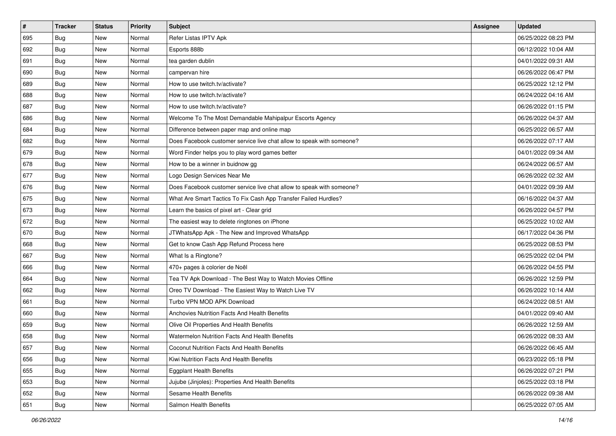| $\vert$ # | <b>Tracker</b> | <b>Status</b> | <b>Priority</b> | Subject                                                               | <b>Assignee</b> | <b>Updated</b>      |
|-----------|----------------|---------------|-----------------|-----------------------------------------------------------------------|-----------------|---------------------|
| 695       | <b>Bug</b>     | New           | Normal          | Refer Listas IPTV Apk                                                 |                 | 06/25/2022 08:23 PM |
| 692       | Bug            | New           | Normal          | Esports 888b                                                          |                 | 06/12/2022 10:04 AM |
| 691       | Bug            | New           | Normal          | tea garden dublin                                                     |                 | 04/01/2022 09:31 AM |
| 690       | <b>Bug</b>     | New           | Normal          | campervan hire                                                        |                 | 06/26/2022 06:47 PM |
| 689       | Bug            | New           | Normal          | How to use twitch.tv/activate?                                        |                 | 06/25/2022 12:12 PM |
| 688       | <b>Bug</b>     | New           | Normal          | How to use twitch.tv/activate?                                        |                 | 06/24/2022 04:16 AM |
| 687       | Bug            | New           | Normal          | How to use twitch.tv/activate?                                        |                 | 06/26/2022 01:15 PM |
| 686       | Bug            | New           | Normal          | Welcome To The Most Demandable Mahipalpur Escorts Agency              |                 | 06/26/2022 04:37 AM |
| 684       | Bug            | New           | Normal          | Difference between paper map and online map                           |                 | 06/25/2022 06:57 AM |
| 682       | Bug            | New           | Normal          | Does Facebook customer service live chat allow to speak with someone? |                 | 06/26/2022 07:17 AM |
| 679       | <b>Bug</b>     | New           | Normal          | Word Finder helps you to play word games better                       |                 | 04/01/2022 09:34 AM |
| 678       | Bug            | New           | Normal          | How to be a winner in buidnow gg                                      |                 | 06/24/2022 06:57 AM |
| 677       | <b>Bug</b>     | New           | Normal          | Logo Design Services Near Me                                          |                 | 06/26/2022 02:32 AM |
| 676       | <b>Bug</b>     | New           | Normal          | Does Facebook customer service live chat allow to speak with someone? |                 | 04/01/2022 09:39 AM |
| 675       | <b>Bug</b>     | New           | Normal          | What Are Smart Tactics To Fix Cash App Transfer Failed Hurdles?       |                 | 06/16/2022 04:37 AM |
| 673       | Bug            | New           | Normal          | Learn the basics of pixel art - Clear grid                            |                 | 06/26/2022 04:57 PM |
| 672       | <b>Bug</b>     | New           | Normal          | The easiest way to delete ringtones on iPhone                         |                 | 06/25/2022 10:02 AM |
| 670       | Bug            | New           | Normal          | JTWhatsApp Apk - The New and Improved WhatsApp                        |                 | 06/17/2022 04:36 PM |
| 668       | <b>Bug</b>     | New           | Normal          | Get to know Cash App Refund Process here                              |                 | 06/25/2022 08:53 PM |
| 667       | Bug            | New           | Normal          | What Is a Ringtone?                                                   |                 | 06/25/2022 02:04 PM |
| 666       | Bug            | New           | Normal          | 470+ pages à colorier de Noël                                         |                 | 06/26/2022 04:55 PM |
| 664       | <b>Bug</b>     | New           | Normal          | Tea TV Apk Download - The Best Way to Watch Movies Offline            |                 | 06/26/2022 12:59 PM |
| 662       | Bug            | New           | Normal          | Oreo TV Download - The Easiest Way to Watch Live TV                   |                 | 06/26/2022 10:14 AM |
| 661       | <b>Bug</b>     | New           | Normal          | Turbo VPN MOD APK Download                                            |                 | 06/24/2022 08:51 AM |
| 660       | Bug            | New           | Normal          | Anchovies Nutrition Facts And Health Benefits                         |                 | 04/01/2022 09:40 AM |
| 659       | Bug            | New           | Normal          | Olive Oil Properties And Health Benefits                              |                 | 06/26/2022 12:59 AM |
| 658       | <b>Bug</b>     | New           | Normal          | Watermelon Nutrition Facts And Health Benefits                        |                 | 06/26/2022 08:33 AM |
| 657       | Bug            | New           | Normal          | Coconut Nutrition Facts And Health Benefits                           |                 | 06/26/2022 06:45 AM |
| 656       | Bug            | New           | Normal          | Kiwi Nutrition Facts And Health Benefits                              |                 | 06/23/2022 05:18 PM |
| 655       | <b>Bug</b>     | New           | Normal          | <b>Eggplant Health Benefits</b>                                       |                 | 06/26/2022 07:21 PM |
| 653       | Bug            | New           | Normal          | Jujube (Jinjoles): Properties And Health Benefits                     |                 | 06/25/2022 03:18 PM |
| 652       | Bug            | New           | Normal          | Sesame Health Benefits                                                |                 | 06/26/2022 09:38 AM |
| 651       | <b>Bug</b>     | New           | Normal          | Salmon Health Benefits                                                |                 | 06/25/2022 07:05 AM |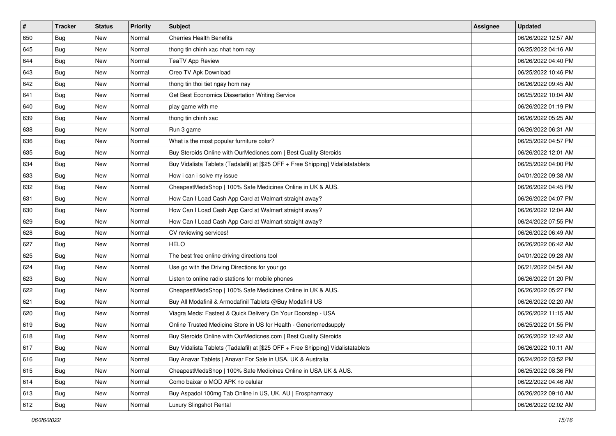| #   | <b>Tracker</b> | <b>Status</b> | <b>Priority</b> | Subject                                                                          | <b>Assignee</b> | <b>Updated</b>      |
|-----|----------------|---------------|-----------------|----------------------------------------------------------------------------------|-----------------|---------------------|
| 650 | <b>Bug</b>     | New           | Normal          | <b>Cherries Health Benefits</b>                                                  |                 | 06/26/2022 12:57 AM |
| 645 | Bug            | New           | Normal          | thong tin chinh xac nhat hom nay                                                 |                 | 06/25/2022 04:16 AM |
| 644 | Bug            | New           | Normal          | <b>TeaTV App Review</b>                                                          |                 | 06/26/2022 04:40 PM |
| 643 | <b>Bug</b>     | New           | Normal          | Oreo TV Apk Download                                                             |                 | 06/25/2022 10:46 PM |
| 642 | Bug            | New           | Normal          | thong tin thoi tiet ngay hom nay                                                 |                 | 06/26/2022 09:45 AM |
| 641 | <b>Bug</b>     | New           | Normal          | Get Best Economics Dissertation Writing Service                                  |                 | 06/25/2022 10:04 AM |
| 640 | <b>Bug</b>     | New           | Normal          | play game with me                                                                |                 | 06/26/2022 01:19 PM |
| 639 | Bug            | New           | Normal          | thong tin chinh xac                                                              |                 | 06/26/2022 05:25 AM |
| 638 | Bug            | New           | Normal          | Run 3 game                                                                       |                 | 06/26/2022 06:31 AM |
| 636 | Bug            | New           | Normal          | What is the most popular furniture color?                                        |                 | 06/25/2022 04:57 PM |
| 635 | <b>Bug</b>     | New           | Normal          | Buy Steroids Online with OurMedicnes.com   Best Quality Steroids                 |                 | 06/26/2022 12:01 AM |
| 634 | <b>Bug</b>     | New           | Normal          | Buy Vidalista Tablets (Tadalafil) at [\$25 OFF + Free Shipping] Vidalistatablets |                 | 06/25/2022 04:00 PM |
| 633 | Bug            | New           | Normal          | How i can i solve my issue                                                       |                 | 04/01/2022 09:38 AM |
| 632 | <b>Bug</b>     | New           | Normal          | CheapestMedsShop   100% Safe Medicines Online in UK & AUS.                       |                 | 06/26/2022 04:45 PM |
| 631 | <b>Bug</b>     | New           | Normal          | How Can I Load Cash App Card at Walmart straight away?                           |                 | 06/26/2022 04:07 PM |
| 630 | Bug            | New           | Normal          | How Can I Load Cash App Card at Walmart straight away?                           |                 | 06/26/2022 12:04 AM |
| 629 | <b>Bug</b>     | New           | Normal          | How Can I Load Cash App Card at Walmart straight away?                           |                 | 06/24/2022 07:55 PM |
| 628 | Bug            | New           | Normal          | CV reviewing services!                                                           |                 | 06/26/2022 06:49 AM |
| 627 | <b>Bug</b>     | New           | Normal          | <b>HELO</b>                                                                      |                 | 06/26/2022 06:42 AM |
| 625 | Bug            | New           | Normal          | The best free online driving directions tool                                     |                 | 04/01/2022 09:28 AM |
| 624 | Bug            | New           | Normal          | Use go with the Driving Directions for your go                                   |                 | 06/21/2022 04:54 AM |
| 623 | Bug            | New           | Normal          | Listen to online radio stations for mobile phones                                |                 | 06/26/2022 01:20 PM |
| 622 | Bug            | New           | Normal          | CheapestMedsShop   100% Safe Medicines Online in UK & AUS.                       |                 | 06/26/2022 05:27 PM |
| 621 | <b>Bug</b>     | New           | Normal          | Buy All Modafinil & Armodafinil Tablets @Buy Modafinil US                        |                 | 06/26/2022 02:20 AM |
| 620 | <b>Bug</b>     | New           | Normal          | Viagra Meds: Fastest & Quick Delivery On Your Doorstep - USA                     |                 | 06/26/2022 11:15 AM |
| 619 | Bug            | New           | Normal          | Online Trusted Medicine Store in US for Health - Genericmedsupply                |                 | 06/25/2022 01:55 PM |
| 618 | <b>Bug</b>     | New           | Normal          | Buy Steroids Online with OurMedicnes.com   Best Quality Steroids                 |                 | 06/26/2022 12:42 AM |
| 617 | <b>Bug</b>     | New           | Normal          | Buy Vidalista Tablets (Tadalafil) at [\$25 OFF + Free Shipping] Vidalistatablets |                 | 06/26/2022 10:11 AM |
| 616 | Bug            | New           | Normal          | Buy Anavar Tablets   Anavar For Sale in USA, UK & Australia                      |                 | 06/24/2022 03:52 PM |
| 615 | <b>Bug</b>     | New           | Normal          | CheapestMedsShop   100% Safe Medicines Online in USA UK & AUS.                   |                 | 06/25/2022 08:36 PM |
| 614 | Bug            | New           | Normal          | Como baixar o MOD APK no celular                                                 |                 | 06/22/2022 04:46 AM |
| 613 | Bug            | New           | Normal          | Buy Aspadol 100mg Tab Online in US, UK, AU   Erospharmacy                        |                 | 06/26/2022 09:10 AM |
| 612 | <b>Bug</b>     | New           | Normal          | Luxury Slingshot Rental                                                          |                 | 06/26/2022 02:02 AM |